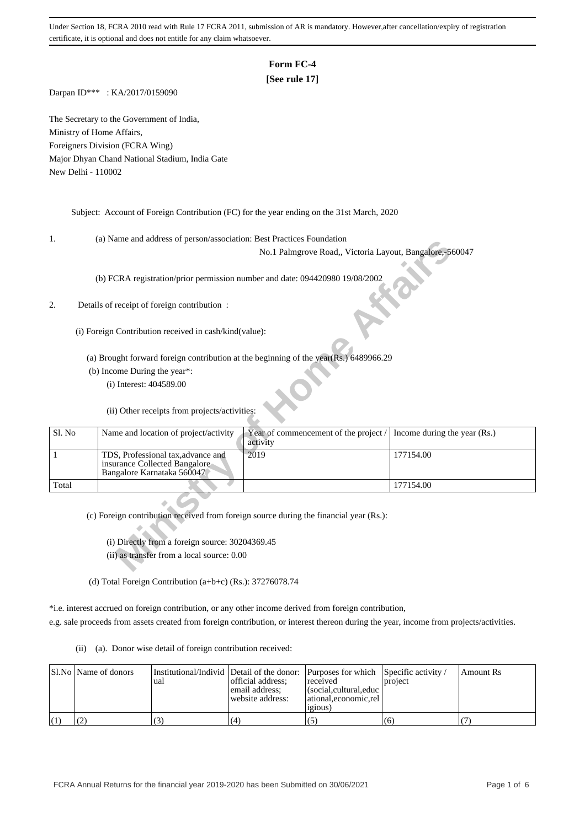# **Form FC-4**

## **[See rule 17]**

Darpan ID\*\*\* : KA/2017/0159090

The Secretary to the Government of India, Ministry of Home Affairs, Foreigners Division (FCRA Wing) Major Dhyan Chand National Stadium, India Gate New Delhi - 110002

Subject: Account of Foreign Contribution (FC) for the year ending on the 31st March, 2020

1. (a) Name and address of person/association: Best Practices Foundation

### 2. Details of receipt of foreign contribution :

| .,     | (a) Ivalue and address of person/association. Dest Fractices Foundation      |                                                                                        |                              |
|--------|------------------------------------------------------------------------------|----------------------------------------------------------------------------------------|------------------------------|
|        |                                                                              | No.1 Palmgrove Road,, Victoria Layout, Bangalore,-560047                               |                              |
|        |                                                                              |                                                                                        |                              |
|        | (b) FCRA registration/prior permission number and date: 094420980 19/08/2002 |                                                                                        |                              |
|        |                                                                              |                                                                                        |                              |
| 2.     | Details of receipt of foreign contribution :                                 |                                                                                        |                              |
|        |                                                                              |                                                                                        |                              |
|        | (i) Foreign Contribution received in cash/kind(value):                       |                                                                                        |                              |
|        |                                                                              |                                                                                        |                              |
|        |                                                                              | (a) Brought forward foreign contribution at the beginning of the year(Rs.) 6489966.29  |                              |
|        | (b) Income During the year*:                                                 |                                                                                        |                              |
|        | $(i)$ Interest: 404589.00                                                    |                                                                                        |                              |
|        |                                                                              |                                                                                        |                              |
|        | (ii) Other receipts from projects/activities:                                |                                                                                        |                              |
|        |                                                                              |                                                                                        |                              |
| Sl. No | Name and location of project/activity                                        | Year of commencement of the project /                                                  | Income during the year (Rs.) |
|        |                                                                              | activity                                                                               |                              |
| 1      | TDS, Professional tax, advance and                                           | 2019                                                                                   | 177154.00                    |
|        | insurance Collected Bangalore<br>Bangalore Karnataka 560047                  |                                                                                        |                              |
| Total  |                                                                              |                                                                                        | 177154.00                    |
|        |                                                                              |                                                                                        |                              |
|        |                                                                              | (c) Foreign contribution received from foreign source during the financial year (Rs.): |                              |
|        |                                                                              |                                                                                        |                              |
|        |                                                                              |                                                                                        |                              |
|        | (i) Directly from a foreign source: 30204369.45                              |                                                                                        |                              |
|        | (ii) as transfer from a local source: 0.00                                   |                                                                                        |                              |
|        |                                                                              |                                                                                        |                              |

(d) Total Foreign Contribution (a+b+c) (Rs.): 37276078.74

\*i.e. interest accrued on foreign contribution, or any other income derived from foreign contribution, e.g. sale proceeds from assets created from foreign contribution, or interest thereon during the year, income from projects/activities.

(ii) (a). Donor wise detail of foreign contribution received:

|                   | Sl.No Name of donors | 'ual | Institutional/Individ Detail of the donor: Purposes for which Specific activity /<br>official address;<br>email address:<br>website address: | received<br>$ $ (social, cultural, educ $ $<br>  ational.economic.rel<br>.1210US) | <b>project</b> | Amount Rs |
|-------------------|----------------------|------|----------------------------------------------------------------------------------------------------------------------------------------------|-----------------------------------------------------------------------------------|----------------|-----------|
| $\left( 1\right)$ |                      |      | (4                                                                                                                                           |                                                                                   | (6)            |           |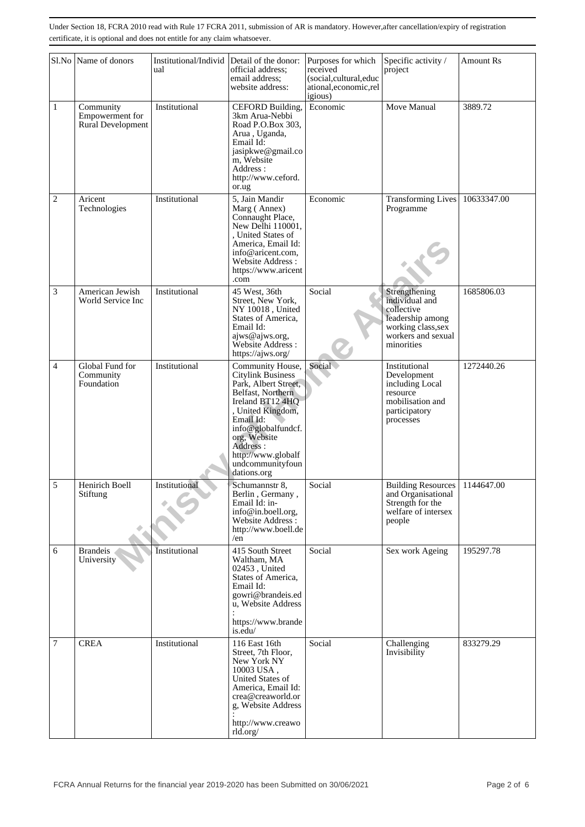|                | Sl.No Name of donors                              | Institutional/Individ<br>ual | Detail of the donor:<br>official address;<br>email address:<br>website address:                                                                                                                                                                     | Purposes for which<br>received<br>(social,cultural,educ<br>ational, economic, rel<br>igious) | Specific activity /<br>project                                                                                              | <b>Amount Rs</b> |
|----------------|---------------------------------------------------|------------------------------|-----------------------------------------------------------------------------------------------------------------------------------------------------------------------------------------------------------------------------------------------------|----------------------------------------------------------------------------------------------|-----------------------------------------------------------------------------------------------------------------------------|------------------|
| $\mathbf{1}$   | Community<br>Empowerment for<br>Rural Development | Institutional                | CEFORD Building,<br>3km Arua-Nebbi<br>Road P.O.Box 303,<br>Arua, Uganda,<br>Email Id:<br>jasipkwe@gmail.co<br>m, Website<br>Address:<br>http://www.ceford.<br>or.ug                                                                                 | Economic                                                                                     | Move Manual                                                                                                                 | 3889.72          |
| $\overline{c}$ | Aricent<br>Technologies                           | Institutional                | 5, Jain Mandir<br>Marg (Annex)<br>Connaught Place,<br>New Delhi 110001,<br>, United States of<br>America, Email Id:<br>info@aricent.com.<br>Website Address:<br>https://www.aricent<br>.com                                                         | Economic                                                                                     | <b>Transforming Lives</b><br>Programme                                                                                      | 10633347.00      |
| 3              | American Jewish<br>World Service Inc              | Institutional                | 45 West, 36th<br>Street, New York,<br>NY 10018, United<br>States of America,<br>Email Id:<br>ajws@ajws.org,<br>Website Address :<br>https://ajws.org/                                                                                               | Social                                                                                       | Strengthening<br>individual and<br>collective<br>leadership among<br>working class, sex<br>workers and sexual<br>minorities | 1685806.03       |
| 4              | Global Fund for<br>Community<br>Foundation        | Institutional                | Community House,<br>Citylink Business<br>Park, Albert Street,<br>Belfast, Northern<br>Ireland BT12 4HQ<br>, United Kingdom,<br>Email Id:<br>info@globalfundcf.<br>org, Website<br>Address:<br>http://www.globalf<br>undcommunityfoun<br>dations.org | Social                                                                                       | Institutional<br>Development<br>including Local<br>resource<br>mobilisation and<br>participatory<br>processes               | 1272440.26       |
| $\overline{5}$ | Henirich Boell<br>Stiftung                        | Institutional                | Schumannstr 8,<br>Berlin, Germany,<br>Email Id: in-<br>info@in.boell.org,<br>Website Address:<br>http://www.boell.de<br>/en                                                                                                                         | Social                                                                                       | Building Resources   1144647.00<br>and Organisational<br>Strength for the<br>welfare of intersex<br>people                  |                  |
| 6              | <b>Brandeis</b><br>University                     | Institutional                | 415 South Street<br>Waltham, MA<br>02453, United<br>States of America,<br>Email Id:<br>gowri@brandeis.ed<br>u, Website Address<br>https://www.brande<br>is.edu/                                                                                     | Social                                                                                       | Sex work Ageing                                                                                                             | 195297.78        |
| 7              | <b>CREA</b>                                       | Institutional                | 116 East 16th<br>Street, 7th Floor,<br>New York NY<br>10003 USA,<br>United States of<br>America, Email Id:<br>crea@creaworld.or<br>g, Website Address<br>http://www.creawo<br>rld.org/                                                              | Social                                                                                       | Challenging<br>Invisibility                                                                                                 | 833279.29        |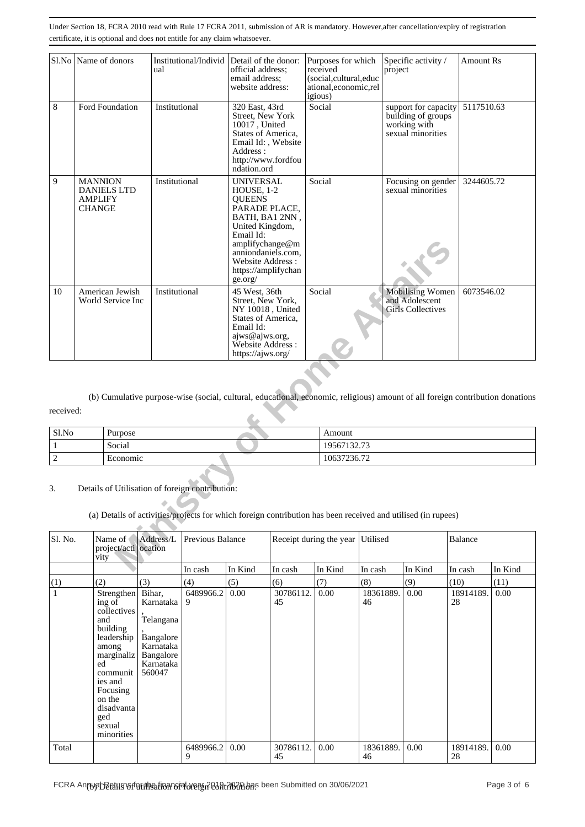|                | Sl.No Name of donors                                                    | Institutional/Individ Detail of the donor:<br>ual                                                                                                               | official address:<br>email address:<br>website address:                                                                                                                                                           |                         | Purposes for which<br>received<br>(social,cultural,educ<br>ational,economic,rel<br>igious) | project | Specific activity /                                                             | <b>Amount Rs</b> |         |
|----------------|-------------------------------------------------------------------------|-----------------------------------------------------------------------------------------------------------------------------------------------------------------|-------------------------------------------------------------------------------------------------------------------------------------------------------------------------------------------------------------------|-------------------------|--------------------------------------------------------------------------------------------|---------|---------------------------------------------------------------------------------|------------------|---------|
| 8              | Ford Foundation                                                         | Institutional                                                                                                                                                   | 320 East, 43rd<br>Street, New York<br>10017, United<br>States of America,<br>Email Id:, Website<br>Address:<br>http://www.fordfou<br>ndation.ord                                                                  |                         | Social                                                                                     |         | support for capacity<br>building of groups<br>working with<br>sexual minorities | 5117510.63       |         |
| 9              | <b>MANNION</b><br><b>DANIELS LTD</b><br><b>AMPLIFY</b><br><b>CHANGE</b> | Institutional                                                                                                                                                   | <b>UNIVERSAL</b><br>HOUSE, 1-2<br><b>QUEENS</b><br>PARADE PLACE,<br>BATH, BA1 2NN,<br>United Kingdom,<br>Email Id:<br>amplifychange@m<br>anniondaniels.com,<br>Website Address:<br>https://amplifychan<br>ge.org/ |                         | Social                                                                                     |         | Focusing on gender<br>sexual minorities                                         | 3244605.72       |         |
| 10             | American Jewish<br>World Service Inc                                    | Institutional                                                                                                                                                   | 45 West, 36th<br>Street, New York,<br>NY 10018, United<br>States of America,<br>Email Id:<br>ajws@ajws.org,<br>Website Address :<br>https://ajws.org/                                                             |                         | Social                                                                                     |         | <b>Mobilising Women</b><br>and Adolescent<br><b>Girls Collectives</b>           | 6073546.02       |         |
| received:      |                                                                         | (b) Cumulative purpose-wise (social, cultural, educational, economic, religious) amount of all foreign contribution donations                                   |                                                                                                                                                                                                                   |                         |                                                                                            |         |                                                                                 |                  |         |
| Sl.No          | Purpose                                                                 |                                                                                                                                                                 |                                                                                                                                                                                                                   |                         | Amount                                                                                     |         |                                                                                 |                  |         |
| $\mathbf{1}$   | Social                                                                  |                                                                                                                                                                 |                                                                                                                                                                                                                   |                         | 19567132.73                                                                                |         |                                                                                 |                  |         |
| $\overline{c}$ | Economic                                                                |                                                                                                                                                                 |                                                                                                                                                                                                                   |                         | 10637236.72                                                                                |         |                                                                                 |                  |         |
| 3.             |                                                                         | Details of Utilisation of foreign contribution:<br>(a) Details of activities/projects for which foreign contribution has been received and utilised (in rupees) |                                                                                                                                                                                                                   |                         |                                                                                            |         |                                                                                 |                  |         |
| Sl. No.        | Name of<br>project/acti ocation<br>vity                                 | Address/L<br>Previous Balance                                                                                                                                   |                                                                                                                                                                                                                   | Receipt during the year | Utilised                                                                                   |         |                                                                                 | Balance          |         |
|                |                                                                         | In cash                                                                                                                                                         | In Kind                                                                                                                                                                                                           | In cash                 | In Kind<br>In cash                                                                         |         | In Kind                                                                         | In cash          | In Kind |

| Sl.No | Purpose  | Amount      |
|-------|----------|-------------|
|       | Social   | 19567132.73 |
|       | Economic | 10637236.72 |

3. Details of Utilisation of foreign contribution:

| Sl. No.      | Name of<br>project/acti ocation<br>vity                                                                                                                                                     | Address/L                                                                                      | Previous Balance |         |                 | Receipt during the year Utilised |                 |         | Balance         |         |
|--------------|---------------------------------------------------------------------------------------------------------------------------------------------------------------------------------------------|------------------------------------------------------------------------------------------------|------------------|---------|-----------------|----------------------------------|-----------------|---------|-----------------|---------|
|              |                                                                                                                                                                                             |                                                                                                | In cash          | In Kind | In cash         | In Kind                          | In cash         | In Kind | In cash         | In Kind |
| (1)          | (2)                                                                                                                                                                                         | (3)                                                                                            | (4)              | (5)     | (6)             | (7)                              | (8)             | (9)     | (10)            | (11)    |
| $\mathbf{1}$ | Strengthen<br>ing of<br>collectives<br>and<br>building<br>leadership<br>among<br>marginaliz<br>ed<br>communit<br>ies and<br>Focusing<br>on the<br>disadvanta<br>ged<br>sexual<br>minorities | Bihar,<br>Karnataka<br>Telangana<br>Bangalore<br>Karnataka<br>Bangalore<br>Karnataka<br>560047 | 6489966.2<br>9   | 0.00    | 30786112.<br>45 | 0.00                             | 18361889.<br>46 | 0.00    | 18914189.<br>28 | 0.00    |
| Total        |                                                                                                                                                                                             |                                                                                                | 6489966.2<br>9   | 0.00    | 30786112.<br>45 | 0.00                             | 18361889.<br>46 | 0.00    | 18914189.<br>28 | 0.00    |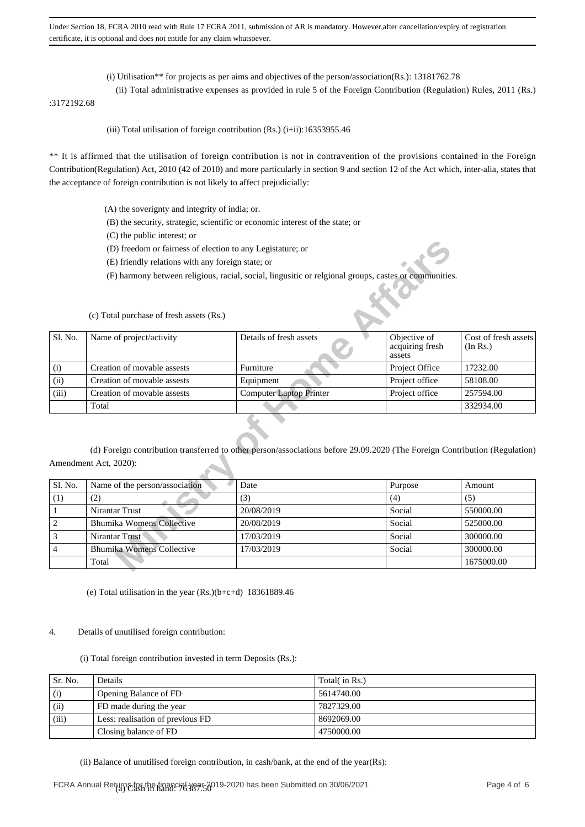- (i) Utilisation\*\* for projects as per aims and objectives of the person/association(Rs.): 13181762.78
- (ii) Total administrative expenses as provided in rule 5 of the Foreign Contribution (Regulation) Rules, 2011 (Rs.)

:3172192.68

(iii) Total utilisation of foreign contribution  $(Rs.)$  (i+ii):16353955.46

\*\* It is affirmed that the utilisation of foreign contribution is not in contravention of the provisions contained in the Foreign Contribution(Regulation) Act, 2010 (42 of 2010) and more particularly in section 9 and section 12 of the Act which, inter-alia, states that the acceptance of foreign contribution is not likely to affect prejudicially:

- (A) the soverignty and integrity of india; or.
- (B) the security, strategic, scientific or economic interest of the state; or
- (C) the public interest; or
- (D) freedom or fairness of election to any Legistature; or
- (E) friendly relations with any foreign state; or
- (F) harmony between religious, racial, social, lingusitic or relgional groups, castes or communities.

| Sl. No. | Name of project/activity    | Details of fresh assets        | Objective of<br>acquiring fresh<br>assets | Cost of fresh assets<br>(In Rs.) |
|---------|-----------------------------|--------------------------------|-------------------------------------------|----------------------------------|
| (i)     | Creation of movable assests | Furniture                      | Project Office                            | 17232.00                         |
| (ii)    | Creation of movable assests | Equipment                      | Project office                            | 58108.00                         |
| (iii)   | Creation of movable assests | <b>Computer Laptop Printer</b> | Project office                            | 257594.00                        |
|         | Total                       |                                |                                           | 332934.00                        |

|                  | (D) freedom or fairness of election to any Legistature; or |                                                                                                                            |                                           |                                  |
|------------------|------------------------------------------------------------|----------------------------------------------------------------------------------------------------------------------------|-------------------------------------------|----------------------------------|
|                  | (E) friendly relations with any foreign state; or          |                                                                                                                            |                                           |                                  |
|                  |                                                            | (F) harmony between religious, racial, social, lingusitic or relgional groups, castes or communities.                      |                                           |                                  |
|                  | (c) Total purchase of fresh assets (Rs.)                   |                                                                                                                            |                                           |                                  |
| Sl. No.          | Name of project/activity                                   | Details of fresh assets                                                                                                    | Objective of<br>acquiring fresh<br>assets | Cost of fresh assets<br>(In Rs.) |
| (i)              | Creation of movable assests                                | Furniture                                                                                                                  | Project Office                            | 17232.00                         |
| (ii)             | Creation of movable assests                                | Equipment                                                                                                                  | Project office                            | 58108.00                         |
| (iii)            | Creation of movable assests                                | <b>Computer Laptop Printer</b>                                                                                             | Project office                            | 257594.00                        |
|                  | Total                                                      |                                                                                                                            |                                           | 332934.00                        |
|                  | Amendment Act, 2020):                                      | (d) Foreign contribution transferred to other person/associations before 29.09.2020 (The Foreign Contribution (Regulation) |                                           |                                  |
| Sl. No.          | Name of the person/association                             | Date                                                                                                                       | Purpose                                   | Amount                           |
| (1)              | (2)                                                        | (3)                                                                                                                        | (4)                                       | (5)                              |
| $\mathbf{1}$     | Nirantar Trust                                             | 20/08/2019                                                                                                                 | Social                                    | 550000.00                        |
| $\boldsymbol{2}$ | <b>Bhumika Womens Collective</b>                           | 20/08/2019                                                                                                                 | Social                                    | 525000.00                        |
| 3                | Nirantar Trust                                             | 17/03/2019                                                                                                                 | Social                                    | 300000.00                        |
| $\overline{4}$   | <b>Bhumika Womens Collective</b>                           | 17/03/2019                                                                                                                 | Social                                    | 300000.00                        |
|                  | Total                                                      |                                                                                                                            |                                           | 1675000.00                       |
|                  |                                                            |                                                                                                                            |                                           |                                  |

(e) Total utilisation in the year (Rs.)(b+c+d) 18361889.46

#### 4. Details of unutilised foreign contribution:

(i) Total foreign contribution invested in term Deposits (Rs.):

| Sr. No. | Details                          | Total( in Rs.) |
|---------|----------------------------------|----------------|
| (i)     | Opening Balance of FD            | 5614740.00     |
| (ii)    | FD made during the year          | 7827329.00     |
| (iii)   | Less: realisation of previous FD | 8692069.00     |
|         | Closing balance of FD            | 4750000.00     |

(ii) Balance of unutilised foreign contribution, in cash/bank, at the end of the year(Rs):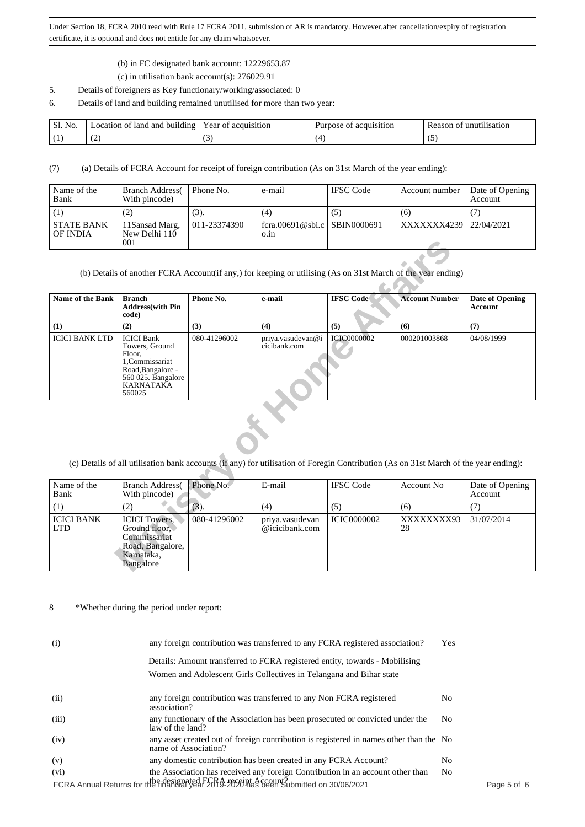- (b) in FC designated bank account: 12229653.87
- (c) in utilisation bank account(s): 276029.91
- 5. Details of foreigners as Key functionary/working/associated: 0
- 6. Details of land and building remained unutilised for more than two year:

| Sl.<br>N <sub>0</sub> | ∟ocation of land and building ' | acquisition<br>Year of | acquisition<br>Purpose<br>OT | unutilisation<br>Reason of |
|-----------------------|---------------------------------|------------------------|------------------------------|----------------------------|
|                       | . .                             | $\sim$                 |                              | . .                        |

(7) (a) Details of FCRA Account for receipt of foreign contribution (As on 31st March of the year ending):

| Name of the<br>Bank           | <b>Branch Address</b><br>With pincode) | Phone No.    | e-mail                               | <b>IFSC</b> Code | Account number | Date of Opening<br>Account |
|-------------------------------|----------------------------------------|--------------|--------------------------------------|------------------|----------------|----------------------------|
|                               | (2)                                    | (3).         | (4)                                  | (5)              | (6)            |                            |
| <b>STATE BANK</b><br>OF INDIA | 11Sansad Marg,<br>New Delhi 110<br>001 | 011-23374390 | fcra.00691@sbi.c SBIN0000691<br>0.1n |                  | XXXXXXX4239    | 22/04/2021                 |

|                                 | 001                                                                                                                                      |              |                                                                                                                                      |                    |                       |                                   |  |  |  |  |
|---------------------------------|------------------------------------------------------------------------------------------------------------------------------------------|--------------|--------------------------------------------------------------------------------------------------------------------------------------|--------------------|-----------------------|-----------------------------------|--|--|--|--|
|                                 | (b) Details of another FCRA Account(if any,) for keeping or utilising (As on 31st March of the year ending)                              |              |                                                                                                                                      |                    |                       |                                   |  |  |  |  |
| Name of the Bank                | <b>Branch</b><br><b>Address</b> (with Pin<br>code)                                                                                       | Phone No.    | e-mail                                                                                                                               | <b>IFSC Code</b>   | <b>Account Number</b> | Date of Opening<br><b>Account</b> |  |  |  |  |
| (1)                             | (2)                                                                                                                                      | (3)          | (4)                                                                                                                                  | (5)                | (6)                   | (7)                               |  |  |  |  |
| <b>ICICI BANK LTD</b>           | <b>ICICI</b> Bank<br>Towers, Ground<br>Floor.<br>1.Commissariat<br>Road, Bangalore -<br>560 025. Bangalore<br><b>KARNATAKA</b><br>560025 | 080-41296002 | priya.vasudevan@i<br>cicibank.com                                                                                                    | <b>ICIC0000002</b> | 000201003868          | 04/08/1999                        |  |  |  |  |
|                                 |                                                                                                                                          |              | (c) Details of all utilisation bank accounts (if any) for utilisation of Foregin Contribution (As on 31st March of the year ending): |                    |                       |                                   |  |  |  |  |
| Name of the<br>Bank             | <b>Branch Address</b><br>With pincode)                                                                                                   | Phone No.    | E-mail                                                                                                                               | <b>IFSC Code</b>   | <b>Account No</b>     | Date of Opening<br>Account        |  |  |  |  |
| (1)                             | (2)                                                                                                                                      | (3).         | (4)                                                                                                                                  | (5)                | (6)                   | (7)                               |  |  |  |  |
| <b>ICICI BANK</b><br><b>LTD</b> | <b>ICICI</b> Towers.<br>Ground floor.<br>Commissariat<br>Road, Bangalore,<br>Karnataka,<br>Bangalore                                     | 080-41296002 | priya.vasudevan<br>@icicibank.com                                                                                                    | <b>ICIC0000002</b> | XXXXXXXX93<br>28      | 31/07/2014                        |  |  |  |  |

| Name of the<br>Bank             | <b>Branch Address</b><br>With pincode)                                                               | Phone No.    | E-mail                            | <b>IFSC</b> Code   | Account No       | Date of Opening<br>Account |
|---------------------------------|------------------------------------------------------------------------------------------------------|--------------|-----------------------------------|--------------------|------------------|----------------------------|
| (1)                             | (2)                                                                                                  | (3).         | (4)                               | (5)                | (6)              |                            |
| <b>ICICI BANK</b><br><b>LTD</b> | <b>ICICI</b> Towers.<br>Ground floor.<br>Commissariat<br>Road, Bangalore,<br>Karnataka,<br>Bangalore | 080-41296002 | priya.yasudevan<br>@icicibank.com | <b>ICIC0000002</b> | XXXXXXXX93<br>28 | 31/07/2014                 |

8 \*Whether during the period under report:

| (i) |       | any foreign contribution was transferred to any FCRA registered association?                                   |                |           |
|-----|-------|----------------------------------------------------------------------------------------------------------------|----------------|-----------|
|     |       | Details: Amount transferred to FCRA registered entity, towards - Mobilising                                    |                |           |
|     |       | Women and Adolescent Girls Collectives in Telangana and Bihar state                                            |                |           |
|     | (ii)  | any foreign contribution was transferred to any Non FCRA registered<br>association?                            | No.            |           |
|     | (iii) | any functionary of the Association has been prosecuted or convicted under the<br>law of the land?              | N <sub>o</sub> |           |
|     | (iv)  | any asset created out of foreign contribution is registered in names other than the No<br>name of Association? |                |           |
|     | (v)   | any domestic contribution has been created in any FCRA Account?                                                | No.            |           |
|     | (vi)  | the Association has received any foreign Contribution in an account other than                                 | N <sub>o</sub> |           |
|     |       | FCRA Annual Returns for the intended FCRA receipt Account?                                                     |                | Page 5 of |
|     |       |                                                                                                                |                |           |